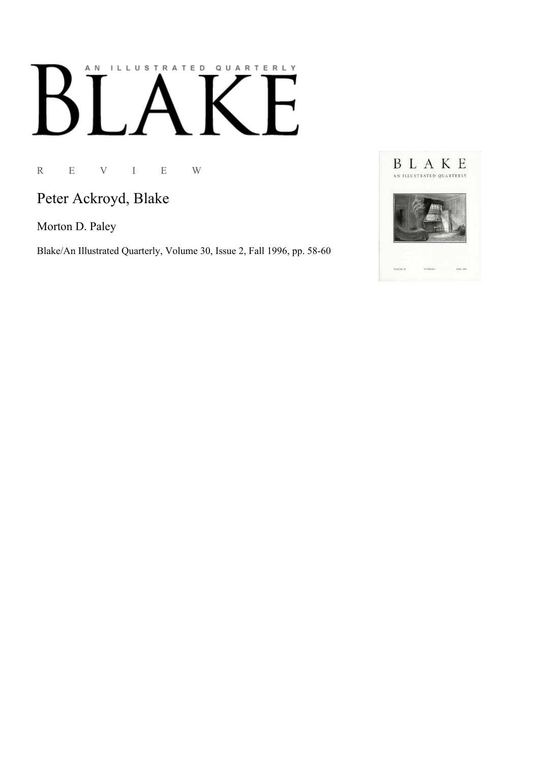## AN ILLUSTRATED QUARTERLY

R E V I E W

Peter Ackroyd, Blake

Morton D. Paley

Blake/An Illustrated Quarterly, Volume 30, Issue 2, Fall 1996, pp. 58-60

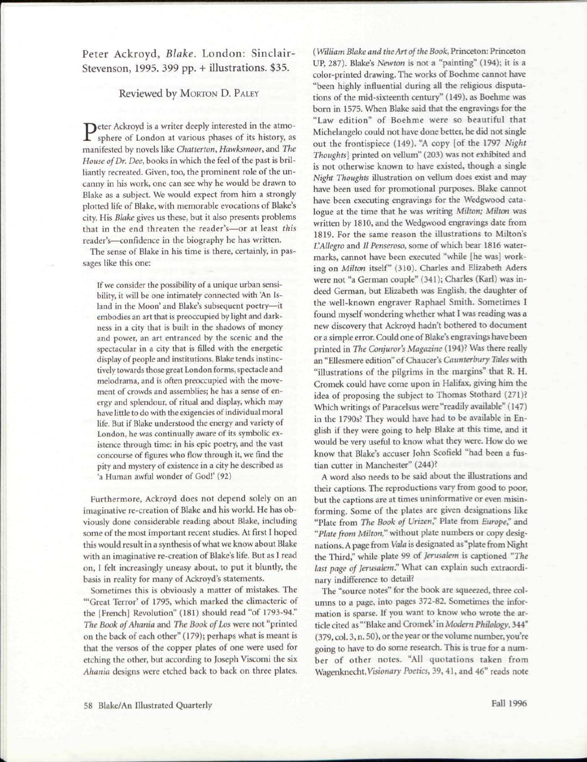Peter Ackroyd, *Blake.* London: Sinclair-Stevenson, 1995. 399 pp. + illustrations. \$35.

## Reviewed by MORTON D. PALEY

Peter Ackroyd is a writer deeply interested in the atmo-<br>sphere of London at various phases of its history, as sphere of London at various phases of its history, as manifested by novels like *Chatterton, Hawksmoor,* and *The House of Dr. Dee,* books in which the feel of the past is brilliantly recreated. Given, too, the prominent role of the uncanny in his work, one can see why he would be drawn to Blake as a subject. We would expect from him a strongly plotted life of Blake, with memorable evocations of Blake's city. His *Blake* gives us these, but it also presents problems that in the end threaten the reader's—or at least *this*  reader's—confidence in the biography he has written.

The sense of Blake in his time is there, certainly, in passages like this one:

If we consider the possibility of a unique urban sensibility, it will be one intimately connected with An Island in the Moon' and Blake's subsequent poetry—it embodies an art that is preoccupied by light and darkness in a city that is built in the shadows of money and power, an art entranced by the scenic and the spectacular in a city that is filled with the energetic display of people and institutions. Blake tends instinctively towards those great London forms, spectacle and melodrama, and is often preoccupied with the movement of crowds and assemblies; he has a sense of energy and splendour, of ritual and display, which may have little to do with the exigencies of individual moral life. But if Blake understood the energy and variety of London, he was continually aware of its symbolic existence through time: in his epic poetry, and the vast concourse of figures who flow through it, we find the pity and mystery of existence in a city he described as 'a Human awful wonder of God!' (92)

Furthermore, Ackroyd does not depend solely on an imaginative re-creation of Blake and his world. He has obviously done considerable reading about Blake, including some of the most important recent studies. At first I hoped this would result in a synthesis of what we know about Blake with an imaginative re-creation of Blake's life. But as I read on, I felt increasingly uneasy about, to put it bluntly, the basis in reality for many of Ackroyd's statements.

Sometimes this is obviously a matter of mistakes. The "'Great Terror' of 1795, which marked the climacteric of the [French] Revolution" (181) should read "of 1793-94." *The Book of Ahania* and *The Book of Los* were not "printed on the back of each other" (179); perhaps what is meant is that the versos of the copper plates of one were used for etching the other, but according to Joseph Viscomi the six *Ahania* designs were etched back to back on three plates.

(*William Blake and the Art of the Book,* Princeton: Princeton UP, 287). Blake's *Newton* is not a "painting" (194); it is a color-printed drawing. The works of Boehme cannot have "been highly influential during all the religious disputations of the mid-sixteenth century" (149), as Boehme was born in 1575. When Blake said that the engravings for the "Law edition" of Boehme were so beautiful that Michelangelo could not have done better, he did not single out the frontispiece (149). "A copy [of the 1797 *Night Thoughts]* printed on vellum" (203) was not exhibited and is not otherwise known to have existed, though a single *Night Thoughts* illustration on vellum does exist and may have been used for promotional purposes. Blake cannot have been executing engravings for the Wedgwood catalogue at the time that he was writing *Milton; Milton* was written by 1810, and the Wedgwood engravings date from 1819. For the same reason the illustrations to Milton's *VAllegro* and *Il Penseroso*, some of which bear 1816 watermarks, cannot have been executed "while [he was] working on *Milton* itself" (310). Charles and Elizabeth Aders were not "a German couple" (341); Charles (Karl) was indeed German, but Elizabeth was English, the daughter of the well-known engraver Raphael Smith. Sometimes I found myself wondering whether what I was reading was a new discovery that Ackroyd hadn't bothered to document or a simple error. Could one of Blake's engravings have been printed in *The Conjuror's Magazine* (194)? Was there really an "Ellesmere edition" of Chaucer's *Caunterbury Tales* with "illustrations of the pilgrims in the margins" that R. H. Cromek could have come upon in Halifax, giving him the idea of proposing the subject to Thomas Stothard (271)? Which writings of Paracelsus were "readily available" (147) in the 1790s? They would have had to be available in English if they were going to help Blake at this time, and it would be very useful to know what they were. How do we know that Blake's accuser John Scofield "had been a fustian cutter in Manchester" (244)?

A word also needs to be said about the illustrations and their captions. The reproductions vary from good to poor, but the captions are at times uninformative or even misinforming. Some of the plates are given designations like "Plate from *The Book of Vrizen"* Plate from *Europe?* and *"Plate from Milton"* without plate numbers or copy designations. A page from *Vala* is designated as "plate from Night the Third," while plate 99 of *Jerusalem* is captioned *"The last page of Jerusalem?* What can explain such extraordinary indifference to detail?

The "source notes" for the book are squeezed, three columns to a page, into pages 372-82. Sometimes the information is sparse. If you want to know who wrote the article cited as "'Blake and Cromek' in *Modern Philology,* 344" (379, col. 3, n. 50), or the year or the volume number, you're going to have to do some research. This is true for a number of other notes. "All quotations taken from Wagenknecht, Visionary Poetics, 39, 41, and 46" reads note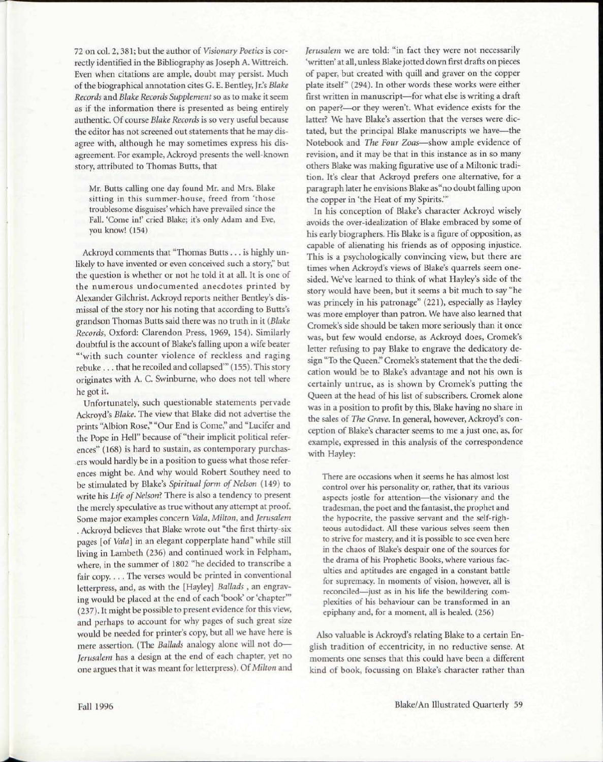72 on col. 2, 381; but the author of *Visionary Poetics* is correctly identified in the Bibliography as Joseph A. Wittreich. Even when citations are ample, doubt may persist. Much of the biographical annotation cites G. E. Bentley, Jr.'s *Blake Records* and *Blake Records Supplement* so as to make it seem as if the information there is presented as being entirely authentic. Of course *Blake Records* is so very useful because the editor has not screened out statements that he may disagree with, although he may sometimes express his disagreement. For example, Ackroyd presents the well-known story, attributed to Thomas Butts, that

Mr. Butts calling one day found Mr. and Mrs. Blake sitting in this summer-house, freed from 'those troublesome disguises' which have prevailed since the Fall. 'Come in!' cried Blake; it's only Adam and Eve, you know! (154)

Ackroyd comments that "Thomas Butts .. . is highly unlikely to have invented or even conceived such a story," but the question is whether or not he told it at all. It is one of the numerous undocumented anecdotes printed by Alexander Gilchrist. Ackroyd reports neither Bentley's dismissal of the story nor his noting that according to Butts's grandson Thomas Butts said there was no truth in it *(Blake Records,* Oxford: Clarendon Press, 1969, 154). Similarly doubtful is the account of Blake's falling upon a wife beater "'with such counter violence of reckless and raging rebuke .. . that he recoiled and collapsed'" (155). This story originates with A. C. Swinburne, who does not tell where he got it.

Unfortunately, such questionable statements pervade Ackroyd's *Blake.* The view that Blake did not advertise the prints "Albion Rose," "Our End is Come," and "Lucifer and the Pope in Hell" because of "their implicit political references" (168) is hard to sustain, as contemporary purchasers would hardly be in a position to guess what those references might be. And why would Robert Southey need to be stimulated by Blake's *Spiritual form of Nelson* (149) to write his *Life of Nelson?* There is also a tendency to present the merely speculative as true without any attempt at proof. Some major examples concern *Vala, Milton,* and *Jerusalem .* Ackroyd believes that Blake wrote out "the first thirty-six pages [of *Vala]* in an elegant copperplate hand" while still living in Lambeth (236) and continued work in Felpham, where, in the summer of 1802 "he decided to transcribe a fair copy.... The verses would be printed in conventional letterpress, and, as with the [Hayley] *Ballads ,* an engraving would be placed at the end of each 'book' or 'chapter'" (237). It might be possible to present evidence for this view, and perhaps to account for why pages of such great size would be needed for printer's copy, but all we have here is mere assertion. (The *Ballads* analogy alone will not do— *Jerusalem* has a design at the end of each chapter, yet no one argues that it was meant for letterpress). *Of Milton* and *Jerusalem* we are told: "in fact they were not necessarily 'written' at all, unless Blake jotted down first drafts on pieces of paper, but created with quill and graver on the copper plate itself" (294). In other words these works were either first written in manuscript—for what else is writing a draft on paper?—or they weren't. What evidence exists for the latter? We have Blake's assertion that the verses were dictated, but the principal Blake manuscripts we have—the Notebook and *The Four Zoas*—show ample evidence of revision, and it may be that in this instance as in so many others Blake was making figurative use of a Miltonic tradition. It's clear that Ackroyd prefers one alternative, for a paragraph later he envisions Blake as "no doubt falling upon the copper in 'the Heat of my Spirits.'"

In his conception of Blake's character Ackroyd wisely avoids the over-idealization of Blake embraced by some of his early biographers. His Blake is a figure of opposition, as capable of alienating his friends as of opposing injustice. This is a psychologically convincing view, but there are times when Ackroyd's views of Blake's quarrels seem onesided. We've learned to think of what Hayley's side of the story would have been, but it seems a bit much to say "he was princely in his patronage" (221), especially as Hayley was more employer than patron. We have also learned that Cromek's side should be taken more seriously than it once was, but few would endorse, as Ackroyd does, Cromek's letter refusing to pay Blake to engrave the dedicatory design "To the Queen." Cromek's statement that the the dedication would be to Blake's advantage and not his own is certainly untrue, as is shown by Cromek's putting the Queen at the head of his list of subscribers. Cromek alone was in a position to profit by this, Blake having no share in the sales of *The Grave.* In general, however, Ackroyd's conception of Blake's character seems to me a just one, as, for example, expressed in this analysis of the correspondence with Hayley:

There are occasions when it seems he has almost lost control over his personality or, rather, that its various aspects jostle for attention—the visionary and the tradesman, the poet and the fantasist, the prophet and the hypocrite, the passive servant and the self-righteous autodidact. All these various selves seem then to strive for mastery, and it is possible to see even here in the chaos of Blake's despair one of the sources for the drama of his Prophetic Books, where various faculties and aptitudes are engaged in a constant battle for supremacy. In moments of vision, however, all is reconciled—just as in his life the bewildering complexities of his behaviour can be transformed in an epiphany and, for a moment, all is healed. (256)

Also valuable is Ackroyd's relating Blake to a certain English tradition of eccentricity, in no reductive sense. At moments one senses that this could have been a different kind of book, focussing on Blake's character rather than